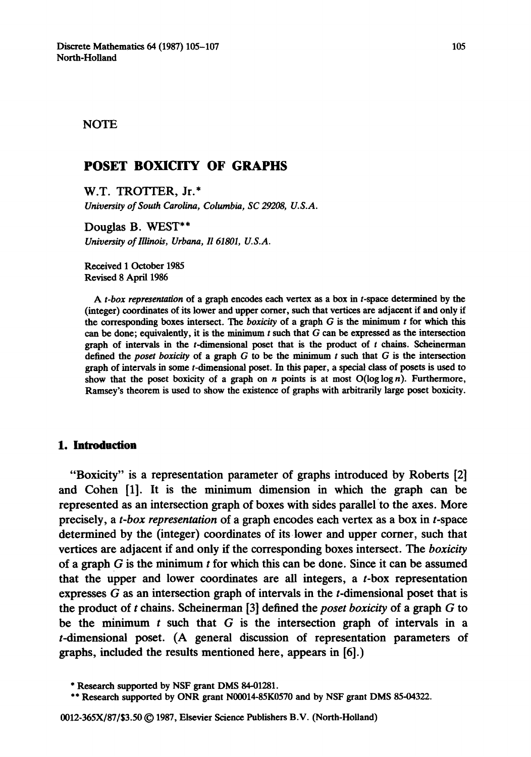### NOTE

# **POSET BOXICITY OF GRAPHS**

W.T. TROTTER, Jr.\* *University of South Carolina, Columbia, SC 29208, U.S.A.* 

**Douglas B. WEST\*\***  *University of Illinois, Urbana, I1 61801, U.S.A.* 

**Received** 1 October 1985 Revised 8 April 1986

*A t-box representation* of a **graph encodes each** vertex as a box in **t-space determined** by the (integer) coordinates of its **lower and upper corner,** such that vertices **are adjacent if and** only if the corresponding boxes intersect. The *boxicity* of a graph  $G$  is the minimum  $t$  for which this **can be done;** equivalently, it is the minimum t such that G can be expressed as the intersection graph of intervals in the  $t$ -dimensional poset that is the product of  $t$  chains. Scheinerman **defined** the *poset boxicity* of a graph G to be the minimum t such that G is the intersection **graph** of intervals in some t-dimensional poset. In this paper, a special class of posets is used to show that the poset boxicity of a graph on n points is at most  $O(\log \log n)$ . Furthermore, Ramsey's theorem is used to show the existence of graphs with arbitrarily large poset boxicity.

## **1. Introduction**

**"Boxicity" is a representation parameter of graphs introduced by Roberts [2] and Cohen [1]. It is the minimum dimension in which the graph can be represented as an intersection graph of boxes with sides parallel to the axes. More precisely, a** *t-box representation* **of a graph encodes each vertex as a box in t-space determined by the (integer) coordinates of its lower and upper corner, such that vertices are adjacent if and only if the corresponding boxes intersect. The** *boxicity*  **of a graph G is the minimum t for which this can be done. Since it can be assumed that the upper and lower coordinates are all integers, a t-box representation expresses G as an intersection graph of intervals in the t-dimensional poset that is the product of t chains. Scheinerman [3] defined the** *poset boxicity* **of a graph G to be the minimum t such that G is the intersection graph of intervals in a t-dimensional poset. (A general discussion of representation parameters of graphs, included the results mentioned here, appears in [6].)** 

<sup>\*</sup> **Research supported** by NSF grant DMS 84-01281.

<sup>\*\*</sup> **Research supported** by ONR grant N00014-85K0570 **and** by NSF grant DMS 85-04322.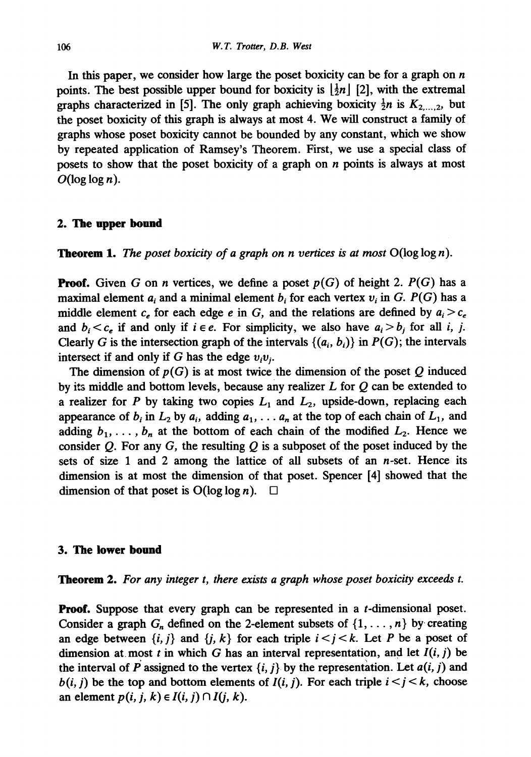In this paper, we consider how large the poset boxicity can be for a graph on  $n$ points. The best possible upper bound for boxicity is  $\left[\frac{1}{2}n\right]$  [2], with the extremal graphs characterized in [5]. The only graph achieving boxicity  $\frac{1}{2}n$  is  $K_{2,\dots,2}$ , but the poset boxicity of this graph is always at most 4. We will construct a family of graphs whose poset boxicity cannot be bounded by any constant, which we show by repeated application of Ramsey's Theorem. First, we use a special class of posets to show that the poset boxicity of a graph on  $n$  points is always at most  $O(\log \log n)$ .

#### **2. The upper bound**

**Theorem** 1. *The poset boxicity of a graph on n vertices is at most* O(log log n).

Proof. Given G on n vertices, we define a poset *p(G)* of height 2. *P(G)* has a maximal element  $a_i$  and a minimal element  $b_i$  for each vertex  $v_i$  in G.  $P(G)$  has a middle element  $c_e$  for each edge e in G, and the relations are defined by  $a_i > c_e$ and  $b_i < c_e$  if and only if  $i \in e$ . For simplicity, we also have  $a_i > b_i$  for all i, j. Clearly G is the intersection graph of the intervals  $\{(a_i, b_i)\}\$ in  $P(G)$ ; the intervals intersect if and only if G has the edge  $v_i v_i$ .

The dimension of  $p(G)$  is at most twice the dimension of the poset  $Q$  induced by its middle and bottom levels, because any realizer  $L$  for  $Q$  can be extended to a realizer for P by taking two copies  $L_1$  and  $L_2$ , upside-down, replacing each appearance of  $b_i$  in  $L_2$  by  $a_i$ , adding  $a_1, \ldots, a_n$  at the top of each chain of  $L_1$ , and adding  $b_1, \ldots, b_n$  at the bottom of each chain of the modified  $L_2$ . Hence we consider Q. For any G, the resulting  $Q$  is a subposet of the poset induced by the sets of size 1 and 2 among the lattice of all subsets of an  $n$ -set. Hence its dimension is at most the dimension of that poset. Spencer [4] showed that the dimension of that poset is  $O(\log \log n)$ .  $\Box$ 

#### **3. The lower bound**

**Theorem** 2. *For any integer t, there exists a graph whose poset boxicity exceeds t.* 

**Proof.** Suppose that every graph can be represented in a t-dimensional poset. Consider a graph  $G_n$  defined on the 2-element subsets of  $\{1,\ldots,n\}$  by creating an edge between  $\{i, j\}$  and  $\{j, k\}$  for each triple  $i < j < k$ . Let P be a poset of dimension at most t in which G has an interval representation, and let  $I(i, j)$  be the interval of P assigned to the vertex  $\{i, j\}$  by the representation. Let  $a(i, j)$  and  $b(i, j)$  be the top and bottom elements of  $I(i, j)$ . For each triple  $i < j < k$ , choose an element  $p(i, j, k) \in I(i, j) \cap I(j, k)$ .